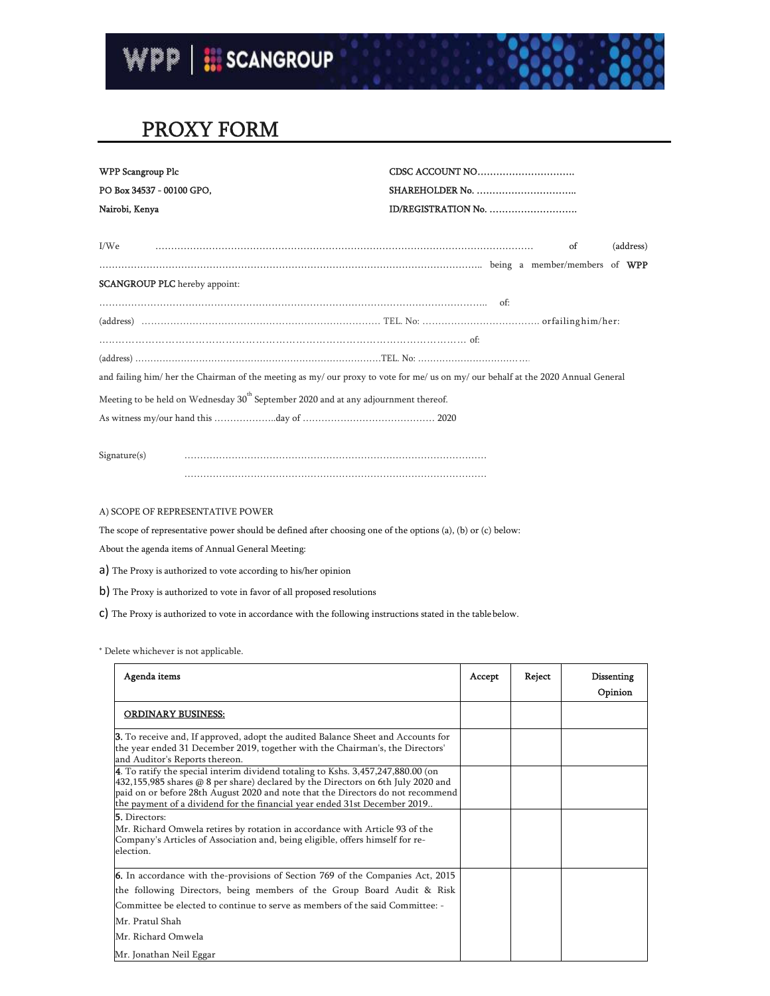

## PROXY FORM

| <b>WPP Scangroup Plc</b>                                                                                                          |                     |
|-----------------------------------------------------------------------------------------------------------------------------------|---------------------|
| PO Box 34537 - 00100 GPO,                                                                                                         |                     |
| Nairobi, Kenya                                                                                                                    | ID/REGISTRATION No. |
| I/We                                                                                                                              | (address)<br>of     |
|                                                                                                                                   |                     |
| <b>SCANGROUP PLC</b> hereby appoint:                                                                                              |                     |
|                                                                                                                                   |                     |
|                                                                                                                                   |                     |
|                                                                                                                                   |                     |
|                                                                                                                                   |                     |
| and failing him/ her the Chairman of the meeting as my/ our proxy to vote for me/ us on my/ our behalf at the 2020 Annual General |                     |
| Meeting to be held on Wednesday $30^{\text{th}}$ September 2020 and at any adjournment thereof.                                   |                     |
|                                                                                                                                   |                     |
|                                                                                                                                   |                     |
|                                                                                                                                   |                     |

Signature(s) …………………………………………………………………………………… ……………………………………………………………………………………

A) SCOPE OF REPRESENTATIVE POWER

The scope of representative power should be defined after choosing one of the options (a), (b) or (c) below:

About the agenda items of Annual General Meeting:

a) The Proxy is authorized to vote according to his/her opinion

b) The Proxy is authorized to vote in favor of all proposed resolutions

c) The Proxy is authorized to vote in accordance with the following instructions stated in the table below.

\* Delete whichever is not applicable.

| Agenda items                                                                                                                                                                                                                                                                                                                           | Accept | Reject | Dissenting<br>Opinion |
|----------------------------------------------------------------------------------------------------------------------------------------------------------------------------------------------------------------------------------------------------------------------------------------------------------------------------------------|--------|--------|-----------------------|
| <b>ORDINARY BUSINESS:</b>                                                                                                                                                                                                                                                                                                              |        |        |                       |
| <b>3.</b> To receive and, If approved, adopt the audited Balance Sheet and Accounts for<br>the year ended 31 December 2019, together with the Chairman's, the Directors'<br>and Auditor's Reports thereon.                                                                                                                             |        |        |                       |
| 4. To ratify the special interim dividend totaling to Kshs. 3,457,247,880.00 (on<br>$432,155,985$ shares @ 8 per share) declared by the Directors on 6th July 2020 and<br>paid on or before 28th August 2020 and note that the Directors do not recommend<br>the payment of a dividend for the financial year ended 31st December 2019 |        |        |                       |
| 5. Directors:<br>Mr. Richard Omwela retires by rotation in accordance with Article 93 of the<br>Company's Articles of Association and, being eligible, offers himself for re-<br>election.                                                                                                                                             |        |        |                       |
| <b>6.</b> In accordance with the-provisions of Section 769 of the Companies Act, 2015<br>the following Directors, being members of the Group Board Audit & Risk<br>Committee be elected to continue to serve as members of the said Committee: -                                                                                       |        |        |                       |
| Mr. Pratul Shah<br>Mr. Richard Omwela<br>Mr. Jonathan Neil Eggar                                                                                                                                                                                                                                                                       |        |        |                       |